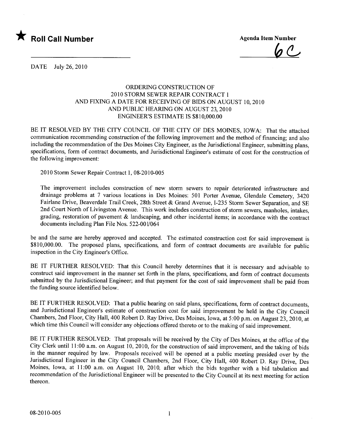

 $6c$ 

DATE July 26,2010

## ORDERING CONSTRUCTION OF 2010 STORM SEWER REPAIR CONTRACT 1 AND FIXING A DATE FOR RECEIVING OF BIDS ON AUGUST 10,2010 AND PUBLIC HEARING ON AUGUST 23, 2010 ENGINEER'S ESTIMATE IS \$810,000.00

BE IT RESOLVED BY THE CITY COUNCIL OF THE CITY OF DES MOINES, IOWA: That the attached communication recommending construction of the following improvement and the method of financing; and also including the recommendation of the Des Moines City Engineer, as the Jurisdictional Engineer, submitting plans, specifications, form of contract documents, and Jurisdictional Engineer's estimate of cost for the construction of the following improvement:

2010 Storm Sewer Repair Contract 1, 08-2010-005

The improvement includes construction of new storm sewers to repair deteriorated infrastructure and drainage problems at 7 various locations in Des Moines: 501 Porter Avenue, Glendale Cemetery, 3420 Fairlane Drive, Beaverdale Trail Creek, 28th Street & Grand Avenue, 1-235 Storm Sewer Separation, and SE 2nd Court North of Livingston Avenue. This work includes construction of storm sewers, manholes, intakes, grading, restoration of pavement & landscaping, and other incidental items; in accordance with the contract documents including Plan File Nos. 522-001/064

be and the same are hereby approved and accepted. The estimated construction cost for said improvement is \$810,000.00. The proposed plans, specifications, and form of contract documents are available for public inspection in the City Engineer's Office.

BE IT FURTHER RESOLVED: That this Council hereby determines that it is necessary and advisable to construct said improvement in the manner set forth in the plans, specifications, and form of contract documents submitted by the Jurisdictional Engineer; and that payment for the cost of said improvement shall be paid from the funding source identified below.

BE IT FURTHER RESOLVED: That a public hearing on said plans, specifications, form of contract documents, and Jurisdictional Engineer's estimate of construction cost for said improvement be held in the City Council Chambers, 2nd Floor, City Hall, 400 Robert D. Ray Drive, Des Moines, Iowa, at 5:00 p.m. on August 23, 2010, at which time this Council will consider any objections offered thereto or to the making of said improvement.

BE IT FURTHER RESOLVED: That proposals will be received by the City of Des Moines, at the office of the City Clerk until 11 :00 a.m. on August 10, 2010, for the construction of said improvement, and the taking of bids in the manner required by law. Proposals received will be opened at a public meeting presided over by the Jurisdictional Engineer in the City Council Chambers, 2nd Floor, City Hall, 400 Robert D. Ray Drive, Des Moines, Iowa, at 11:00 a.m. on August 10, 2010, after which the bids together with a bid tabulation and recommendation of the Jurisdictional Engineer will be presented to the City Council at its next meeting for action thereon.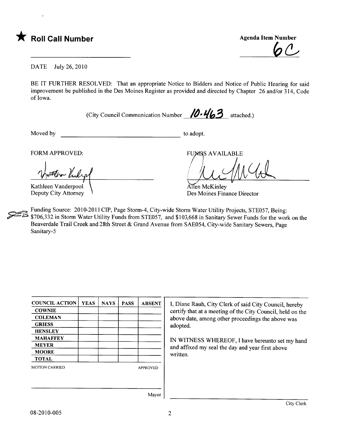

 $6<sup>CD</sup>$ 

DATE July 26,2010

BE IT FURTHER RESOLVED: That an appropriate Notice to Bidders and Notice of Public Hearing for said improvement be published in the Des Moines Register as provided and directed by Chapter 26 and/or 314, Code of Iowa.

(City Council Communication Number  $\mathcal{D} \cdot \mathcal{U}_3$  attached.)

Moved by to adopt.

in Kul Kathleen Vanderpool

Deputy City Attorney

FORM APPROVED: FUNDS AVAILABLE

au mad

Allen McKinley Des Moines Finance Director

. Funding Source: 2010-2011 CIP, Page Storm-4, City-wide Storm Water Utility Projects, STE057, Being: \$706,332 in Storm Water Utility Funds from STE057, and \$103,668 in Sanitary Sewer Funds for the work on the Beaverdale Trail Creek and 28th Street & Grand Avenue from SAE054, City-wide Sanitary Sewers, Page Sanitary-5

| <b>COUNCIL ACTION</b> | <b>YEAS</b> | <b>NAYS</b> | <b>PASS</b> | <b>ABSENT</b>   |
|-----------------------|-------------|-------------|-------------|-----------------|
| <b>COWNIE</b>         |             |             |             |                 |
| <b>COLEMAN</b>        |             |             |             |                 |
| <b>GRIESS</b>         |             |             |             |                 |
| <b>HENSLEY</b>        |             |             |             |                 |
| <b>MAHAFFEY</b>       |             |             |             |                 |
| <b>MEYER</b>          |             |             |             |                 |
| <b>MOORE</b>          |             |             |             |                 |
| <b>TOTAL</b>          |             |             |             |                 |
| <b>MOTION CARRIED</b> |             |             |             | <b>APPROVED</b> |
|                       |             |             |             |                 |
|                       |             |             |             |                 |
|                       |             |             |             | $\blacksquare$  |

I, Diane Rauh, City Clerk of said City Council, hereby certify that at a meeting of the City Council, held on the above date, among other proceedings the above was adopted.

IN WITNESS WHEREOF, I have hereunto set my hand and affixed my seal the day and year first above written.

Mayor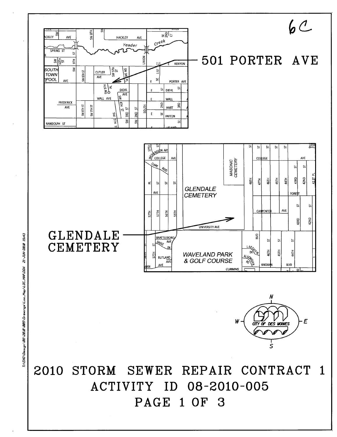

21-JUN-2010 15:43 T:\ENG\Des1gn\08\2010\005\Drawings\Loc\_Map\LOC\_MAP.DGN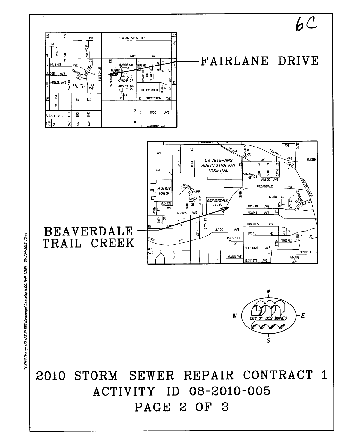

T1\ENG\Des1gn\08\2010\005\DrewIngs\Loo\_Map\L0C\_MAP\_1.DGN 21-JUN-2010 15:44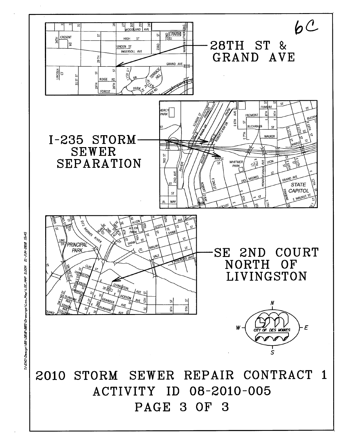

T:\ENG\Des:gn\B8\2010\005\Drewings\Loc\_Map\LOC\_MAP\_2.DGN 21-JUN-2010 15:45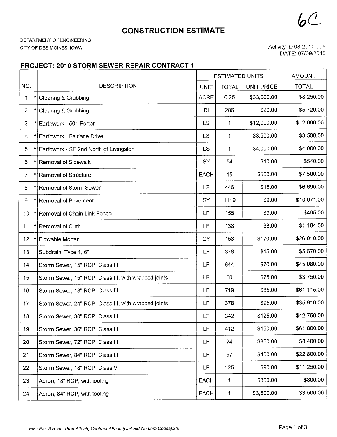**CONSTRUCTION ESTIMATE** 

DEPARTMENT OF ENGINEERING CITY OF DES MOINES, IOWA

Activity ID 08-2010-005 DATE: 07/09/2010

 $bC$ 

## PROJECT: 2010 STORM SEWER REPAIR CONTRACT 1

|                 |                                                      | <b>ESTIMATED UNITS</b> |              | <b>AMOUNT</b>     |              |
|-----------------|------------------------------------------------------|------------------------|--------------|-------------------|--------------|
| NO.             | <b>DESCRIPTION</b>                                   | <b>UNIT</b>            | <b>TOTAL</b> | <b>UNIT PRICE</b> | <b>TOTAL</b> |
| 1               | Clearing & Grubbing                                  | <b>ACRE</b>            | 0.25         | \$33,000.00       | \$8,250.00   |
| $\overline{2}$  | Clearing & Grubbing                                  | <b>DI</b>              | 286          | \$20.00           | \$5,720.00   |
| 3               | Earthwork - 501 Porter                               | LS                     | $\mathbf{1}$ | \$12,000.00       | \$12,000.00  |
| $\overline{4}$  | Earthwork - Fairlane Drive                           | <b>LS</b>              | 1            | \$3,500.00        | \$3,500.00   |
| 5               | Earthwork - SE 2nd North of Livingston               | <b>LS</b>              | $\mathbf{1}$ | \$4,000.00        | \$4,000.00   |
| 6               | Removal of Sidewalk                                  | SY                     | 54           | \$10.00           | \$540.00     |
| $\overline{7}$  | Removal of Structure                                 | <b>EACH</b>            | 15           | \$500.00          | \$7,500.00   |
| 8               | Removal of Storm Sewer                               | LF                     | 446          | \$15.00           | \$6,690.00   |
| 9               | Removal of Pavement                                  | SY                     | 1119         | \$9.00            | \$10,071.00  |
| 10              | Removal of Chain Link Fence                          | LF                     | 155          | \$3.00            | \$465.00     |
| 11              | Removal of Curb                                      | LF                     | 138          | \$8.00            | \$1,104.00   |
| 12 <sub>2</sub> | Flowable Mortar                                      | <b>CY</b>              | 153          | \$170.00          | \$26,010.00  |
| 13              | Subdrain, Type 1, 6"                                 | LF                     | 378          | \$15.00           | \$5,670.00   |
| 14              | Storm Sewer, 15" RCP, Class III                      | <b>LF</b>              | 644          | \$70.00           | \$45,080.00  |
| 15              | Storm Sewer, 15" RCP, Class III, with wrapped joints | LF                     | 50           | \$75.00           | \$3,750.00   |
| 16              | Storm Sewer, 18" RCP, Class III                      | LF                     | 719          | \$85.00           | \$61,115.00  |
| 17              | Storm Sewer, 24" RCP, Class III, with wrapped joints | LF                     | 378          | \$95.00           | \$35,910.00  |
| 18              | Storm Sewer, 30" RCP, Class III                      | LF                     | 342          | \$125.00          | \$42,750.00  |
| 19              | Storm Sewer, 36" RCP, Class III                      | <b>LF</b>              | 412          | \$150.00          | \$61,800.00  |
| 20              | Storm Sewer, 72" RCP, Class III                      | LF                     | 24           | \$350.00          | \$8,400.00   |
| 21              | Storm Sewer, 84" RCP, Class III                      | LF                     | 57           | \$400.00          | \$22,800.00  |
| 22              | Storm Sewer, 18" RCP, Class V                        | LF                     | 125          | \$90.00           | \$11,250.00  |
| 23              | Apron, 18" RCP, with footing                         | EACH                   | 1            | \$800.00          | \$800.00     |
| 24              | Apron, 84" RCP, with footing                         | <b>EACH</b>            | 1            | \$3,500.00        | \$3,500.00   |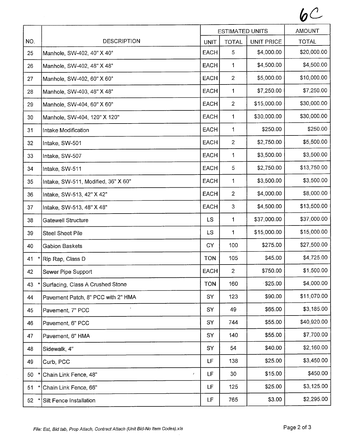|               |                                     | <b>ESTIMATED UNITS</b> |                |                   | <b>AMOUNT</b> |
|---------------|-------------------------------------|------------------------|----------------|-------------------|---------------|
| NO.           | <b>DESCRIPTION</b>                  | <b>UNIT</b>            | <b>TOTAL</b>   | <b>UNIT PRICE</b> | <b>TOTAL</b>  |
| 25            | Manhole, SW-402, 40" X 40"          | <b>EACH</b>            | 5              | \$4,000.00        | \$20,000.00   |
| 26            | Manhole, SW-402, 48" X 48"          | <b>EACH</b>            | 1              | \$4,500.00        | \$4,500.00    |
| 27            | Manhole, SW-402, 60" X 60"          | <b>EACH</b>            | $\overline{2}$ | \$5,000.00        | \$10,000.00   |
| 28            | Manhole, SW-403, 48" X 48"          | <b>EACH</b>            | $\mathbf 1$    | \$7,250.00        | \$7,250.00    |
| 29            | Manhole, SW-404, 60" X 60"          | <b>EACH</b>            | $\overline{2}$ | \$15,000.00       | \$30,000.00   |
| 30            | Manhole, SW-404, 120" X 120"        | <b>EACH</b>            | $\mathbf 1$    | \$30,000.00       | \$30,000.00   |
| 31            | Intake Modification                 | <b>EACH</b>            | 1              | \$250.00          | \$250.00      |
| 32            | Intake, SW-501                      | <b>EACH</b>            | $\overline{2}$ | \$2,750.00        | \$5,500.00    |
| 33            | Intake, SW-507                      | <b>EACH</b>            | 1              | \$3,500.00        | \$3,500.00    |
| 34            | Intake, SW-511                      | <b>EACH</b>            | 5              | \$2,750.00        | \$13,750.00   |
| 35            | Intake, SW-511, Modified, 36" X 60" | <b>EACH</b>            | $\mathbf{1}$   | \$3,500.00        | \$3,500.00    |
| 36            | Intake, SW-513, 42" X 42"           | <b>EACH</b>            | $\overline{2}$ | \$4,000.00        | \$8,000.00    |
| 37            | Intake, SW-513, 48" X 48"           | <b>EACH</b>            | 3              | \$4,500.00        | \$13,500.00   |
| 38            | <b>Gatewell Structure</b>           | LS                     | 1              | \$37,000.00       | \$37,000.00   |
| 39            | <b>Steel Sheet Pile</b>             | <b>LS</b>              | 1              | \$15,000.00       | \$15,000.00   |
| 40            | <b>Gabion Baskets</b>               | <b>CY</b>              | 100            | \$275.00          | \$27,500.00   |
| $\star$<br>41 | Rip Rap, Class D                    | <b>TON</b>             | 105            | \$45.00           | \$4,725.00    |
| 42            | Sewer Pipe Support                  | <b>EACH</b>            | $\overline{2}$ | \$750.00          | \$1,500.00    |
| 43            | Surfacing, Class A Crushed Stone    | <b>TON</b>             | 160            | \$25.00           | \$4,000.00    |
| 44            | Pavement Patch, 8" PCC with 2" HMA  | SY                     | 123            | \$90.00           | \$11,070.00   |
| 45            | Pavement, 7" PCC                    | SY                     | 49             | \$65.00           | \$3,185.00    |
| 46            | Pavement, 6" PCC                    | SY                     | 744            | \$55.00           | \$40,920.00   |
| 47            | Pavement, 6" HMA                    | SY                     | 140            | \$55.00           | \$7,700.00    |
| 48            | Sidewalk, 4"                        | SY                     | 54             | \$40.00           | \$2,160.00    |
| 49            | Curb, PCC                           | LF                     | 138            | \$25.00           | \$3,450.00    |
| 50            | Chain Link Fence, 48"               | LF<br>$\pmb{\prime}$   | 30             | \$15.00           | \$450.00      |
| 51            | Chain Link Fence, 66"               | LF                     | 125            | \$25.00           | \$3,125.00    |
| 52            | Silt Fence Installation             | LF                     | 765            | \$3.00            | \$2,295.00    |